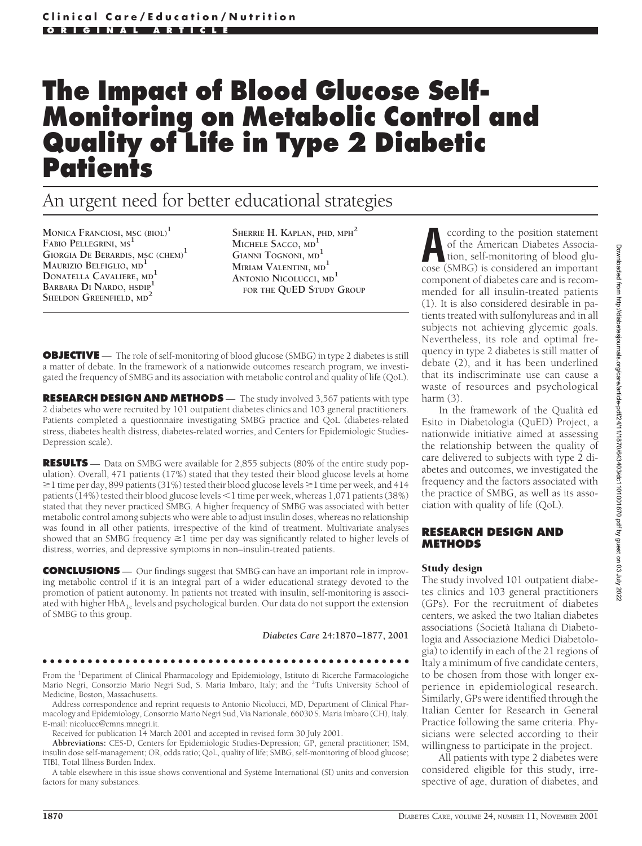# **The Impact of Blood Glucose Self-Monitoring on Metabolic Control and Quality of Life in Type 2 Diabetic Patients**

## An urgent need for better educational strategies

**MONICA FRANCIOSI, MSC (BIOL)<sup>1</sup> FABIO PELLEGRINI, MS<sup>1</sup> GIORGIA DE BERARDIS, MSC (CHEM)<sup>1</sup> MAURIZIO BELFIGLIO, MD<sup>1</sup> DONATELLA CAVALIERE, MD<sup>1</sup> BARBARA DI NARDO, HSDIP<sup>1</sup> SHELDON GREENFIELD, MD<sup>2</sup>**

**SHERRIE H. KAPLAN, PHD, MPH<sup>2</sup> MICHELE SACCO, MD<sup>1</sup> GIANNI TOGNONI, MD<sup>1</sup> MIRIAM VALENTINI, MD<sup>1</sup> ANTONIO NICOLUCCI, MD<sup>1</sup> FOR THE QUED STUDY GROUP**

**OBJECTIVE** — The role of self-monitoring of blood glucose (SMBG) in type 2 diabetes is still a matter of debate. In the framework of a nationwide outcomes research program, we investigated the frequency of SMBG and its association with metabolic control and quality of life (QoL).

**RESEARCH DESIGN AND METHODS** — The study involved 3,567 patients with type 2 diabetes who were recruited by 101 outpatient diabetes clinics and 103 general practitioners. Patients completed a questionnaire investigating SMBG practice and QoL (diabetes-related stress, diabetes health distress, diabetes-related worries, and Centers for Epidemiologic Studies-Depression scale).

**RESULTS** — Data on SMBG were available for 2,855 subjects (80% of the entire study population). Overall, 471 patients (17%) stated that they tested their blood glucose levels at home  $\geq$ 1 time per day, 899 patients (31%) tested their blood glucose levels  $\geq$ 1 time per week, and 414 patients (14%) tested their blood glucose levels  $\leq$ 1 time per week, whereas 1,071 patients (38%) stated that they never practiced SMBG. A higher frequency of SMBG was associated with better metabolic control among subjects who were able to adjust insulin doses, whereas no relationship was found in all other patients, irrespective of the kind of treatment. Multivariate analyses showed that an SMBG frequency  $\geq 1$  time per day was significantly related to higher levels of distress, worries, and depressive symptoms in non–insulin-treated patients.

**CONCLUSIONS** — Our findings suggest that SMBG can have an important role in improving metabolic control if it is an integral part of a wider educational strategy devoted to the promotion of patient autonomy. In patients not treated with insulin, self-monitoring is associated with higher  $HbA_{1c}$  levels and psychological burden. Our data do not support the extension of SMBG to this group.

*Diabetes Care* **24:1870–1877, 2001**

#### ●●●●●●●●●●●●●●●●●●●●●●●●●●●●●●●●●●●●●●●●●●●●●●●●●

From the <sup>1</sup>Department of Clinical Pharmacology and Epidemiology, Istituto di Ricerche Farmacologiche Mario Negri, Consorzio Mario Negri Sud, S. Maria Imbaro, Italy; and the <sup>2</sup>Tufts University School of Medicine, Boston, Massachusetts.

Address correspondence and reprint requests to Antonio Nicolucci, MD, Department of Clinical Pharmacology and Epidemiology, Consorzio Mario Negri Sud, Via Nazionale, 66030 S. Maria Imbaro (CH), Italy. E-mail: nicolucc@cmns.mnegri.it.

Received for publication 14 March 2001 and accepted in revised form 30 July 2001.

**Abbreviations:** CES-D, Centers for Epidemiologic Studies-Depression; GP, general practitioner; ISM, insulin dose self-management; OR, odds ratio; QoL, quality of life; SMBG, self-monitoring of blood glucose; TIBI, Total Illness Burden Index.

A table elsewhere in this issue shows conventional and Système International (SI) units and conversion factors for many substances

**According to the position statement<br>
of the American Diabetes Associa-<br>
tion, self-monitoring of blood glu-<br>
cose (SMBG) is considered an important** of the American Diabetes Associacose (SMBG) is considered an important component of diabetes care and is recommended for all insulin-treated patients (1). It is also considered desirable in patients treated with sulfonylureas and in all subjects not achieving glycemic goals. Nevertheless, its role and optimal frequency in type 2 diabetes is still matter of debate (2), and it has been underlined that its indiscriminate use can cause a waste of resources and psychological harm (3).

In the framework of the Qualita` ed Esito in Diabetologia (QuED) Project, a nationwide initiative aimed at assessing the relationship between the quality of care delivered to subjects with type 2 diabetes and outcomes, we investigated the frequency and the factors associated with the practice of SMBG, as well as its association with quality of life (QoL).

#### **RESEARCH DESIGN AND METHODS**

#### Study design

The study involved 101 outpatient diabetes clinics and 103 general practitioners (GPs). For the recruitment of diabetes centers, we asked the two Italian diabetes associations (Societa` Italiana di Diabetologia and Associazione Medici Diabetologia) to identify in each of the 21 regions of Italy a minimum of five candidate centers, to be chosen from those with longer experience in epidemiological research. Similarly, GPs were identified through the Italian Center for Research in General Practice following the same criteria. Physicians were selected according to their willingness to participate in the project.

All patients with type 2 diabetes were considered eligible for this study, irrespective of age, duration of diabetes, and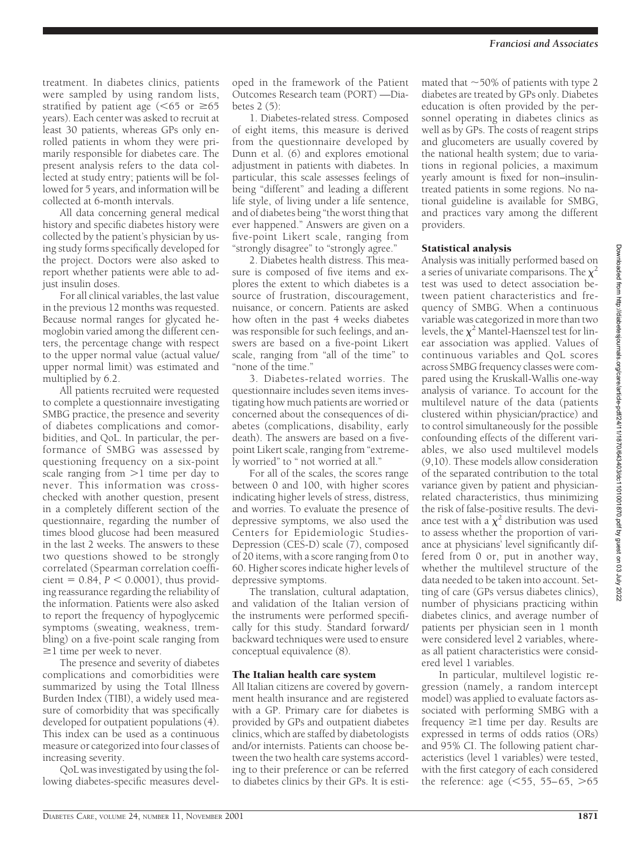treatment. In diabetes clinics, patients were sampled by using random lists, stratified by patient age ( $\leq 65$  or  $\geq 65$ ) years). Each center was asked to recruit at least 30 patients, whereas GPs only enrolled patients in whom they were primarily responsible for diabetes care. The present analysis refers to the data collected at study entry; patients will be followed for 5 years, and information will be collected at 6-month intervals.

All data concerning general medical history and specific diabetes history were collected by the patient's physician by using study forms specifically developed for the project. Doctors were also asked to report whether patients were able to adjust insulin doses.

For all clinical variables, the last value in the previous 12 months was requested. Because normal ranges for glycated hemoglobin varied among the different centers, the percentage change with respect to the upper normal value (actual value/ upper normal limit) was estimated and multiplied by 6.2.

All patients recruited were requested to complete a questionnaire investigating SMBG practice, the presence and severity of diabetes complications and comorbidities, and QoL. In particular, the performance of SMBG was assessed by questioning frequency on a six-point scale ranging from  $>1$  time per day to never. This information was crosschecked with another question, present in a completely different section of the questionnaire, regarding the number of times blood glucose had been measured in the last 2 weeks. The answers to these two questions showed to be strongly correlated (Spearman correlation coefficient  $= 0.84$ ,  $P < 0.0001$ ), thus providing reassurance regarding the reliability of the information. Patients were also asked to report the frequency of hypoglycemic symptoms (sweating, weakness, trembling) on a five-point scale ranging from  $\geq$ 1 time per week to never.

The presence and severity of diabetes complications and comorbidities were summarized by using the Total Illness Burden Index (TIBI), a widely used measure of comorbidity that was specifically developed for outpatient populations (4). This index can be used as a continuous measure or categorized into four classes of increasing severity.

QoL was investigated by using the following diabetes-specific measures developed in the framework of the Patient Outcomes Research team (PORT) —Diabetes 2 (5):

1. Diabetes-related stress. Composed of eight items, this measure is derived from the questionnaire developed by Dunn et al. (6) and explores emotional adjustment in patients with diabetes. In particular, this scale assesses feelings of being "different" and leading a different life style, of living under a life sentence, and of diabetes being "the worst thing that ever happened." Answers are given on a five-point Likert scale, ranging from "strongly disagree" to "strongly agree."

2. Diabetes health distress. This measure is composed of five items and explores the extent to which diabetes is a source of frustration, discouragement, nuisance, or concern. Patients are asked how often in the past 4 weeks diabetes was responsible for such feelings, and answers are based on a five-point Likert scale, ranging from "all of the time" to "none of the time."

3. Diabetes-related worries. The questionnaire includes seven items investigating how much patients are worried or concerned about the consequences of diabetes (complications, disability, early death). The answers are based on a fivepoint Likert scale, ranging from "extremely worried" to " not worried at all."

For all of the scales, the scores range between 0 and 100, with higher scores indicating higher levels of stress, distress, and worries. To evaluate the presence of depressive symptoms, we also used the Centers for Epidemiologic Studies-Depression (CES-D) scale (7), composed of 20 items, with a score ranging from 0 to 60. Higher scores indicate higher levels of depressive symptoms.

The translation, cultural adaptation, and validation of the Italian version of the instruments were performed specifically for this study. Standard forward/ backward techniques were used to ensure conceptual equivalence (8).

#### The Italian health care system

All Italian citizens are covered by government health insurance and are registered with a GP. Primary care for diabetes is provided by GPs and outpatient diabetes clinics, which are staffed by diabetologists and/or internists. Patients can choose between the two health care systems according to their preference or can be referred to diabetes clinics by their GPs. It is esti-

mated that  $\sim$  50% of patients with type 2 diabetes are treated by GPs only. Diabetes education is often provided by the personnel operating in diabetes clinics as well as by GPs. The costs of reagent strips and glucometers are usually covered by the national health system; due to variations in regional policies, a maximum yearly amount is fixed for non–insulintreated patients in some regions. No national guideline is available for SMBG, and practices vary among the different providers.

### Statistical analysis

Analysis was initially performed based on a series of univariate comparisons. The  $\chi^2$ test was used to detect association between patient characteristics and frequency of SMBG. When a continuous variable was categorized in more than two levels, the  $\chi^2$  Mantel-Haenszel test for linear association was applied. Values of continuous variables and QoL scores across SMBG frequency classes were compared using the Kruskall-Wallis one-way analysis of variance. To account for the multilevel nature of the data (patients clustered within physician/practice) and to control simultaneously for the possible confounding effects of the different variables, we also used multilevel models (9,10). These models allow consideration of the separated contribution to the total variance given by patient and physicianrelated characteristics, thus minimizing the risk of false-positive results. The deviance test with a  $\chi^2$  distribution was used to assess whether the proportion of variance at physicians' level significantly differed from 0 or, put in another way, whether the multilevel structure of the data needed to be taken into account. Setting of care (GPs versus diabetes clinics), number of physicians practicing within diabetes clinics, and average number of patients per physician seen in 1 month were considered level 2 variables, whereas all patient characteristics were considered level 1 variables.

In particular, multilevel logistic regression (namely, a random intercept model) was applied to evaluate factors associated with performing SMBG with a frequency  $\geq 1$  time per day. Results are expressed in terms of odds ratios (ORs) and 95% CI. The following patient characteristics (level 1 variables) were tested, with the first category of each considered the reference: age  $(<55, 55-65, >65$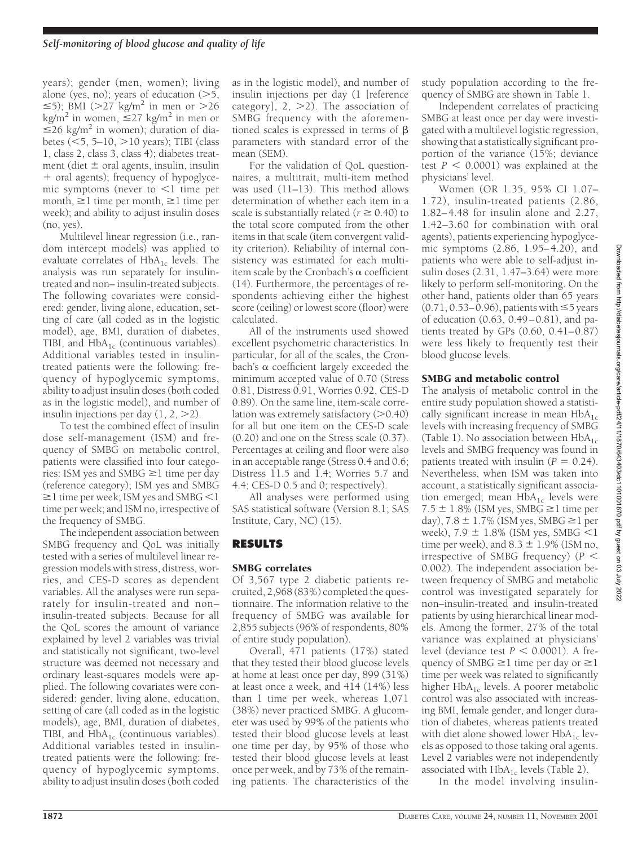years); gender (men, women); living alone (yes, no); years of education  $(>=5,$  $\leq$ 5); BMI (>27 kg/m<sup>2</sup> in men or >26 kg/m<sup>2</sup> in women,  $\leq$ 27 kg/m<sup>2</sup> in men or  $\leq$ 26 kg/m<sup>2</sup> in women); duration of diabetes (5, 5–10, -10 years); TIBI (class 1, class 2, class 3, class 4); diabetes treatment (diet  $\pm$  oral agents, insulin, insulin + oral agents); frequency of hypoglycemic symptoms (never to  $\leq 1$  time per month,  $\geq 1$  time per month,  $\geq 1$  time per week); and ability to adjust insulin doses (no, yes).

Multilevel linear regression (i.e., random intercept models) was applied to evaluate correlates of  $HbA_{1c}$  levels. The analysis was run separately for insulintreated and non– insulin-treated subjects. The following covariates were considered: gender, living alone, education, setting of care (all coded as in the logistic model), age, BMI, duration of diabetes, TIBI, and  $HbA_{1c}$  (continuous variables). Additional variables tested in insulintreated patients were the following: frequency of hypoglycemic symptoms, ability to adjust insulin doses (both coded as in the logistic model), and number of insulin injections per day  $(1, 2, >2)$ .

To test the combined effect of insulin dose self-management (ISM) and frequency of SMBG on metabolic control, patients were classified into four categories: ISM yes and SMBG  $\geq$  1 time per day (reference category); ISM yes and SMBG  $\geq$ 1 time per week; ISM yes and SMBG < 1 time per week; and ISM no, irrespective of the frequency of SMBG.

The independent association between SMBG frequency and QoL was initially tested with a series of multilevel linear regression models with stress, distress, worries, and CES-D scores as dependent variables. All the analyses were run separately for insulin-treated and non– insulin-treated subjects. Because for all the QoL scores the amount of variance explained by level 2 variables was trivial and statistically not significant, two-level structure was deemed not necessary and ordinary least-squares models were applied. The following covariates were considered: gender, living alone, education, setting of care (all coded as in the logistic models), age, BMI, duration of diabetes, TIBI, and  $HbA_{1c}$  (continuous variables). Additional variables tested in insulintreated patients were the following: frequency of hypoglycemic symptoms, ability to adjust insulin doses (both coded

as in the logistic model), and number of insulin injections per day (1 [reference  $categorical, 2, >2$ ). The association of SMBG frequency with the aforementioned scales is expressed in terms of parameters with standard error of the mean (SEM).

For the validation of QoL questionnaires, a multitrait, multi-item method was used (11–13). This method allows determination of whether each item in a scale is substantially related ( $r \ge 0.40$ ) to the total score computed from the other items in that scale (item convergent validity criterion). Reliability of internal consistency was estimated for each multiitem scale by the Cronbach's  $\alpha$  coefficient (14). Furthermore, the percentages of respondents achieving either the highest score (ceiling) or lowest score (floor) were calculated.

All of the instruments used showed excellent psychometric characteristics. In particular, for all of the scales, the Cronbach's  $\alpha$  coefficient largely exceeded the minimum accepted value of 0.70 (Stress 0.81, Distress 0.91, Worries 0.92, CES-D 0.89). On the same line, item-scale correlation was extremely satisfactory  $(>0.40)$ for all but one item on the CES-D scale (0.20) and one on the Stress scale (0.37). Percentages at ceiling and floor were also in an acceptable range (Stress 0.4 and 0.6; Distress 11.5 and 1.4; Worries 5.7 and 4.4; CES-D 0.5 and 0; respectively).

All analyses were performed using SAS statistical software (Version 8.1; SAS Institute, Cary, NC) (15).

## **RESULTS**

## SMBG correlates

Of 3,567 type 2 diabetic patients recruited, 2,968 (83%) completed the questionnaire. The information relative to the frequency of SMBG was available for 2,855 subjects (96% of respondents, 80% of entire study population).

Overall, 471 patients (17%) stated that they tested their blood glucose levels at home at least once per day, 899 (31%) at least once a week, and 414 (14%) less than 1 time per week, whereas 1,071 (38%) never practiced SMBG. A glucometer was used by 99% of the patients who tested their blood glucose levels at least one time per day, by 95% of those who tested their blood glucose levels at least once per week, and by 73% of the remaining patients. The characteristics of the study population according to the frequency of SMBG are shown in Table 1.

Independent correlates of practicing SMBG at least once per day were investigated with a multilevel logistic regression, showing that a statistically significant proportion of the variance (15%; deviance test  $P < 0.0001$ ) was explained at the physicians' level.

Women (OR 1.35, 95% CI 1.07– 1.72), insulin-treated patients (2.86, 1.82– 4.48 for insulin alone and 2.27, 1.42–3.60 for combination with oral agents), patients experiencing hypoglycemic symptoms (2.86, 1.95–4.20), and patients who were able to self-adjust insulin doses (2.31, 1.47–3.64) were more likely to perform self-monitoring. On the other hand, patients older than 65 years  $(0.71, 0.53 - 0.96)$ , patients with  $\leq$  5 years of education (0.63, 0.49–0.81), and patients treated by GPs (0.60, 0.41–0.87) were less likely to frequently test their blood glucose levels.

## SMBG and metabolic control

The analysis of metabolic control in the entire study population showed a statistically significant increase in mean  $HbA_{1c}$ levels with increasing frequency of SMBG (Table 1). No association between  $HbA_{1c}$ levels and SMBG frequency was found in patients treated with insulin  $(P = 0.24)$ . Nevertheless, when ISM was taken into account, a statistically significant association emerged; mean  $HbA_{1c}$  levels were  $7.5 \pm 1.8\%$  (ISM yes, SMBG  $\geq$ 1 time per day),  $7.8 \pm 1.7\%$  (ISM yes, SMBG  $\geq 1$  per week),  $7.9 \pm 1.8\%$  (ISM yes, SMBG  $\leq 1$ time per week), and  $8.3 \pm 1.9\%$  (ISM no, irrespective of SMBG frequency) (*P* 0.002). The independent association between frequency of SMBG and metabolic control was investigated separately for non–insulin-treated and insulin-treated patients by using hierarchical linear models. Among the former, 27% of the total variance was explained at physicians' level (deviance test  $P < 0.0001$ ). A frequency of SMBG  $\geq$ 1 time per day or  $\geq$ 1 time per week was related to significantly higher  $HbA_{1c}$  levels. A poorer metabolic control was also associated with increasing BMI, female gender, and longer duration of diabetes, whereas patients treated with diet alone showed lower  $HbA_{1c}$  levels as opposed to those taking oral agents. Level 2 variables were not independently associated with  $HbA_{1c}$  levels (Table 2).

In the model involving insulin-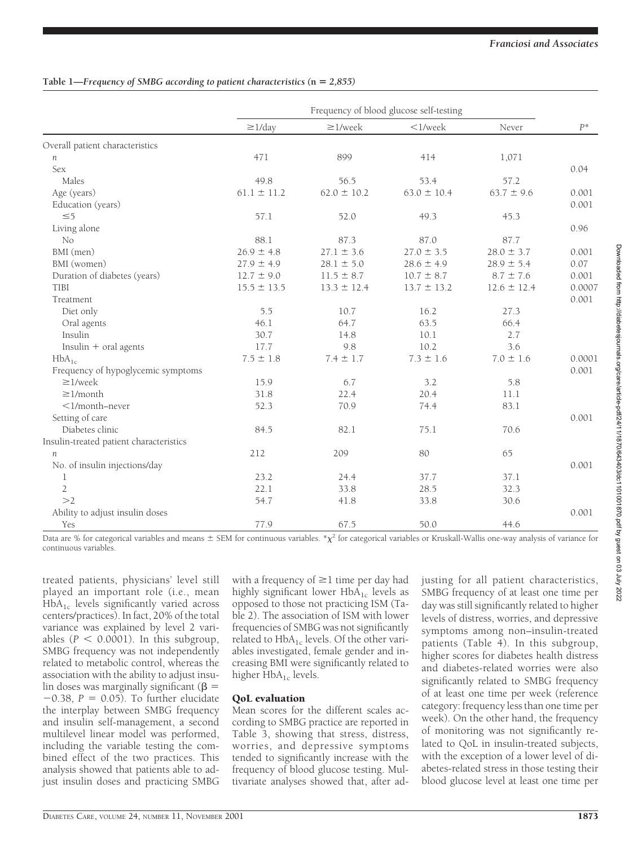## **Table 1—***Frequency of SMBG according to patient characteristics (***n** *2,855)*

|                                         |                 |                 | Frequency of blood glucose self-testing |                 |        |
|-----------------------------------------|-----------------|-----------------|-----------------------------------------|-----------------|--------|
|                                         | $\geq$ 1/day    | $\geq$ 1/week   | $<$ 1/week                              | Never           | $P^*$  |
| Overall patient characteristics         |                 |                 |                                         |                 |        |
| п                                       | 471             | 899             | 414                                     | 1,071           |        |
| Sex                                     |                 |                 |                                         |                 | 0.04   |
| Males                                   | 49.8            | 56.5            | 53.4                                    | 57.2            |        |
| Age (years)                             | $61.1 \pm 11.2$ | $62.0 \pm 10.2$ | $63.0 \pm 10.4$                         | $63.7 \pm 9.6$  | 0.001  |
| Education (years)                       |                 |                 |                                         |                 | 0.001  |
| $\leq 5$                                | 57.1            | 52.0            | 49.3                                    | 45.3            |        |
| Living alone                            |                 |                 |                                         |                 | 0.96   |
| No                                      | 88.1            | 87.3            | 87.0                                    | 87.7            |        |
| BMI (men)                               | $26.9 \pm 4.8$  | $27.1 \pm 3.6$  | $27.0 \pm 3.5$                          | $28.0 \pm 3.7$  | 0.001  |
| BMI (women)                             | $27.9 \pm 4.9$  | $28.1 \pm 5.0$  | $28.6 \pm 4.9$                          | $28.9 \pm 5.4$  | 0.07   |
| Duration of diabetes (years)            | $12.7 \pm 9.0$  | $11.5 \pm 8.7$  | $10.7 \pm 8.7$                          | $8.7 \pm 7.6$   | 0.001  |
| <b>TIBI</b>                             | $15.5 \pm 13.5$ | $13.3 \pm 12.4$ | $13.7 \pm 13.2$                         | $12.6 \pm 12.4$ | 0.0007 |
| Treatment                               |                 |                 |                                         |                 | 0.001  |
| Diet only                               | 5.5             | 10.7            | 16.2                                    | 27.3            |        |
| Oral agents                             | 46.1            | 64.7            | 63.5                                    | 66.4            |        |
| Insulin                                 | 30.7            | 14.8            | 10.1                                    | 2.7             |        |
| $Insulin + oral agents$                 | 17.7            | 9.8             | 10.2                                    | 3.6             |        |
| $HbA_{1c}$                              | $7.5 \pm 1.8$   | $7.4 \pm 1.7$   | $7.3 \pm 1.6$                           | $7.0 \pm 1.6$   | 0.0001 |
| Frequency of hypoglycemic symptoms      |                 |                 |                                         |                 | 0.001  |
| $\geq$ 1/week                           | 15.9            | 6.7             | 3.2                                     | 5.8             |        |
| $\geq$ 1/month                          | 31.8            | 22.4            | 20.4                                    | 11.1            |        |
| $<$ 1/month-never                       | 52.3            | 70.9            | 74.4                                    | 83.1            |        |
| Setting of care                         |                 |                 |                                         |                 | 0.001  |
| Diabetes clinic                         | 84.5            | 82.1            | 75.1                                    | 70.6            |        |
| Insulin-treated patient characteristics |                 |                 |                                         |                 |        |
| $\boldsymbol{n}$                        | 212             | 209             | 80                                      | 65              |        |
| No. of insulin injections/day           |                 |                 |                                         |                 | 0.001  |
| 1                                       | 23.2            | 24.4            | 37.7                                    | 37.1            |        |
| $\overline{2}$                          | 22.1            | 33.8            | 28.5                                    | 32.3            |        |
| >2                                      | 54.7            | 41.8            | 33.8                                    | 30.6            |        |
| Ability to adjust insulin doses         |                 |                 |                                         |                 | 0.001  |
| Yes                                     | 77.9            | 67.5            | 50.0                                    | 44.6            |        |

Data are % for categorical variables and means  $\pm$  SEM for continuous variables. \* $\chi^2$  for categorical variables or Kruskall-Wallis one-way analysis of variance for continuous variables.

treated patients, physicians' level still played an important role (i.e., mean  $HbA_{1c}$  levels significantly varied across centers/practices). In fact, 20% of the total variance was explained by level 2 variables  $(P < 0.0001)$ . In this subgroup, SMBG frequency was not independently related to metabolic control, whereas the association with the ability to adjust insulin doses was marginally significant ( $\beta$  =  $-0.38$ ,  $P = 0.05$ ). To further elucidate the interplay between SMBG frequency and insulin self-management, a second multilevel linear model was performed, including the variable testing the combined effect of the two practices. This analysis showed that patients able to adjust insulin doses and practicing SMBG

with a frequency of  $\geq 1$  time per day had highly significant lower  $HbA_{1c}$  levels as opposed to those not practicing ISM (Table 2). The association of ISM with lower frequencies of SMBG was not significantly related to  $HbA_{1c}$  levels. Of the other variables investigated, female gender and increasing BMI were significantly related to higher  $HbA_{1c}$  levels.

## QoL evaluation

Mean scores for the different scales according to SMBG practice are reported in Table 3, showing that stress, distress, worries, and depressive symptoms tended to significantly increase with the frequency of blood glucose testing. Multivariate analyses showed that, after adjusting for all patient characteristics, SMBG frequency of at least one time per day was still significantly related to higher levels of distress, worries, and depressive symptoms among non–insulin-treated patients (Table 4). In this subgroup, higher scores for diabetes health distress and diabetes-related worries were also significantly related to SMBG frequency of at least one time per week (reference category: frequency less than one time per week). On the other hand, the frequency of monitoring was not significantly related to QoL in insulin-treated subjects, with the exception of a lower level of diabetes-related stress in those testing their blood glucose level at least one time per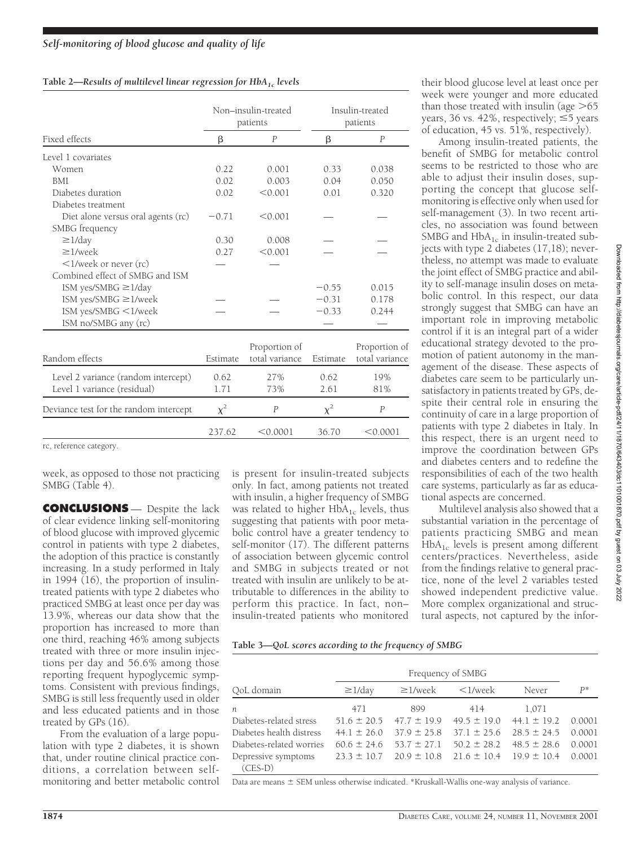| Table 2—Results of multilevel linear regression for $HbA_{1c}$ levels |  |  |
|-----------------------------------------------------------------------|--|--|
|-----------------------------------------------------------------------|--|--|

|                                        |          | Non-insulin-treated<br>patients | Insulin-treated<br>patients |                |
|----------------------------------------|----------|---------------------------------|-----------------------------|----------------|
| Fixed effects                          | β        | $\boldsymbol{P}$                | β                           | $\overline{P}$ |
| Level 1 covariates                     |          |                                 |                             |                |
| Women                                  | 0.22     | 0.001                           | 0.33                        | 0.038          |
| <b>BMI</b>                             | 0.02     | 0.003                           | 0.04                        | 0.050          |
| Diabetes duration                      | 0.02     | < 0.001                         | 0.01                        | 0.320          |
| Diabetes treatment                     |          |                                 |                             |                |
| Diet alone versus oral agents (rc)     | $-0.71$  | < 0.001                         |                             |                |
| SMBG frequency                         |          |                                 |                             |                |
| $\geq$ 1/day                           | 0.30     | 0.008                           |                             |                |
| $\geq$ 1/week                          | 0.27     | < 0.001                         |                             |                |
| $\leq$ 1/week or never (rc)            |          |                                 |                             |                |
| Combined effect of SMBG and ISM        |          |                                 |                             |                |
| ISM yes/SMBG ≥1/day                    |          |                                 | $-0.55$                     | 0.015          |
| ISM yes/SMBG $\geq$ 1/week             |          |                                 | $-0.31$                     | 0.178          |
| ISM yes/SMBG <1/week                   |          |                                 | $-0.33$                     | 0.244          |
| ISM no/SMBG any (rc)                   |          |                                 |                             |                |
|                                        |          | Proportion of                   |                             | Proportion of  |
| Random effects                         | Estimate | total variance                  | Estimate                    | total variance |
| Level 2 variance (random intercept)    | 0.62     | 27%                             | 0.62                        | 19%            |
| Level 1 variance (residual)            | 1.71     | 73%                             | 2.61                        | 81%            |
| Deviance test for the random intercept | $\chi^2$ | $\overline{P}$                  | $\chi^2$                    | P              |
|                                        | 237.62   | < 0.0001                        | 36.70                       | < 0.0001       |

rc, reference category.

week, as opposed to those not practicing SMBG (Table 4).

**CONCLUSIONS** — Despite the lack of clear evidence linking self-monitoring of blood glucose with improved glycemic control in patients with type 2 diabetes, the adoption of this practice is constantly increasing. In a study performed in Italy in 1994 (16), the proportion of insulintreated patients with type 2 diabetes who practiced SMBG at least once per day was 13.9%, whereas our data show that the proportion has increased to more than one third, reaching 46% among subjects treated with three or more insulin injections per day and 56.6% among those reporting frequent hypoglycemic symptoms. Consistent with previous findings, SMBG is still less frequently used in older and less educated patients and in those treated by GPs (16).

From the evaluation of a large population with type 2 diabetes, it is shown that, under routine clinical practice conditions, a correlation between selfmonitoring and better metabolic control is present for insulin-treated subjects only. In fact, among patients not treated with insulin, a higher frequency of SMBG was related to higher  $HbA_{1c}$  levels, thus suggesting that patients with poor metabolic control have a greater tendency to self-monitor (17). The different patterns of association between glycemic control and SMBG in subjects treated or not treated with insulin are unlikely to be attributable to differences in the ability to perform this practice. In fact, non– insulin-treated patients who monitored

their blood glucose level at least once per week were younger and more educated than those treated with insulin (age  $>$ 65 years, 36 vs. 42%, respectively;  $\leq$ 5 years of education, 45 vs. 51%, respectively).

Among insulin-treated patients, the benefit of SMBG for metabolic control seems to be restricted to those who are able to adjust their insulin doses, supporting the concept that glucose selfmonitoring is effective only when used for self-management (3). In two recent articles, no association was found between SMBG and  $HbA_{1c}$  in insulin-treated subjects with type 2 diabetes (17,18); nevertheless, no attempt was made to evaluate the joint effect of SMBG practice and ability to self-manage insulin doses on metabolic control. In this respect, our data strongly suggest that SMBG can have an important role in improving metabolic control if it is an integral part of a wider educational strategy devoted to the promotion of patient autonomy in the management of the disease. These aspects of diabetes care seem to be particularly unsatisfactory in patients treated by GPs, despite their central role in ensuring the continuity of care in a large proportion of patients with type 2 diabetes in Italy. In this respect, there is an urgent need to improve the coordination between GPs and diabetes centers and to redefine the responsibilities of each of the two health care systems, particularly as far as educational aspects are concerned.

Multilevel analysis also showed that a substantial variation in the percentage of patients practicing SMBG and mean HbA<sub>1c</sub> levels is present among different centers/practices. Nevertheless, aside from the findings relative to general practice, none of the level 2 variables tested showed independent predictive value. More complex organizational and structural aspects, not captured by the infor-

| Table 3-QoL scores according to the frequency of SMBG |  |  |  |
|-------------------------------------------------------|--|--|--|

|                          |                 | Frequency of SMBG |                 |                 |        |  |  |
|--------------------------|-----------------|-------------------|-----------------|-----------------|--------|--|--|
| QoL domain               | $\geq$ 1/day    | $\geq$ 1/week     | $\leq$ 1/week   | Never           | $P^*$  |  |  |
| n                        | 471             | 899               | 414             | 1,071           |        |  |  |
| Diabetes-related stress  | $51.6 \pm 20.5$ | $47.7 \pm 19.9$   | $49.5 \pm 19.0$ | $44.1 \pm 19.2$ | 0.0001 |  |  |
| Diabetes health distress | $44.1 \pm 26.0$ | $37.9 \pm 25.8$   | $37.1 \pm 25.6$ | $28.5 \pm 24.5$ | 0.0001 |  |  |
| Diabetes-related worries | $60.6 \pm 24.6$ | $53.7 \pm 27.1$   | $50.2 \pm 28.2$ | $48.5 \pm 28.6$ | 0.0001 |  |  |
| Depressive symptoms      | $23.3 \pm 10.7$ | $20.9 \pm 10.8$   | $21.6 \pm 10.4$ | $19.9 \pm 10.4$ | 0.0001 |  |  |
| $(CES-D)$                |                 |                   |                 |                 |        |  |  |

Data are means  $\pm$  SEM unless otherwise indicated. \*Kruskall-Wallis one-way analysis of variance.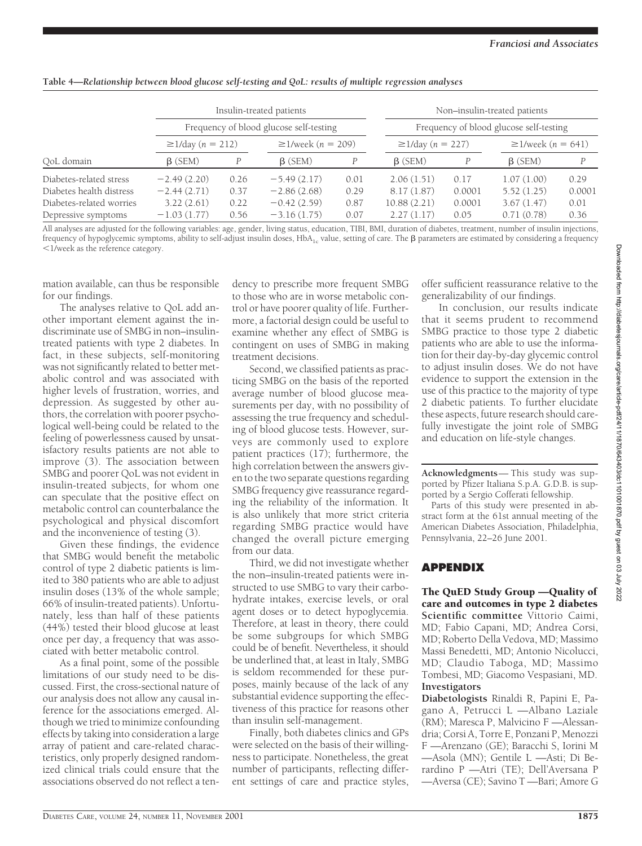|                          | Insulin-treated patients<br>Frequency of blood glucose self-testing |      |               |                                | Non-insulin-treated patients<br>Frequency of blood glucose self-testing |                         |               |        |
|--------------------------|---------------------------------------------------------------------|------|---------------|--------------------------------|-------------------------------------------------------------------------|-------------------------|---------------|--------|
|                          |                                                                     |      |               |                                |                                                                         |                         |               |        |
|                          | $\geq 1$ /day (n = 212)<br>$\geq$ 1/week (n = 209)                  |      |               | $\geq$ 1/day ( <i>n</i> = 227) |                                                                         | $\geq$ 1/week (n = 641) |               |        |
| OoL domain               | $\beta$ (SEM)                                                       | P    | $\beta$ (SEM) | P                              | $\beta$ (SEM)                                                           |                         | $\beta$ (SEM) | P      |
| Diabetes-related stress  | $-2.49(2.20)$                                                       | 0.26 | $-5.49(2.17)$ | 0.01                           | 2.06(1.51)                                                              | 0.17                    | 1.07(1.00)    | 0.29   |
| Diabetes health distress | $-2.44(2.71)$                                                       | 0.37 | $-2.86(2.68)$ | 0.29                           | 8.17(1.87)                                                              | 0.0001                  | 5.52(1.25)    | 0.0001 |
| Diabetes-related worries | 3.22(2.61)                                                          | 0.22 | $-0.42(2.59)$ | 0.87                           | 10.88(2.21)                                                             | 0.0001                  | 3.67(1.47)    | 0.01   |
| Depressive symptoms      | $-1.03(1.77)$                                                       | 0.56 | $-3.16(1.75)$ | 0.07                           | 2.27(1.17)                                                              | 0.05                    | 0.71(0.78)    | 0.36   |

**Table 4—***Relationship between blood glucose self-testing and QoL: results of multiple regression analyses*

All analyses are adjusted for the following variables: age, gender, living status, education, TIBI, BMI, duration of diabetes, treatment, number of insulin injections, frequency of hypoglycemic symptoms, ability to self-adjust insulin doses,  $HbA_{1c}$  value, setting of care. The  $\beta$  parameters are estimated by considering a frequency 1/week as the reference category.

mation available, can thus be responsible for our findings.

The analyses relative to QoL add another important element against the indiscriminate use of SMBG in non–insulintreated patients with type 2 diabetes. In fact, in these subjects, self-monitoring was not significantly related to better metabolic control and was associated with higher levels of frustration, worries, and depression. As suggested by other authors, the correlation with poorer psychological well-being could be related to the feeling of powerlessness caused by unsatisfactory results patients are not able to improve (3). The association between SMBG and poorer QoL was not evident in insulin-treated subjects, for whom one can speculate that the positive effect on metabolic control can counterbalance the psychological and physical discomfort and the inconvenience of testing (3).

Given these findings, the evidence that SMBG would benefit the metabolic control of type 2 diabetic patients is limited to 380 patients who are able to adjust insulin doses (13% of the whole sample; 66% of insulin-treated patients). Unfortunately, less than half of these patients (44%) tested their blood glucose at least once per day, a frequency that was associated with better metabolic control.

As a final point, some of the possible limitations of our study need to be discussed. First, the cross-sectional nature of our analysis does not allow any causal inference for the associations emerged. Although we tried to minimize confounding effects by taking into consideration a large array of patient and care-related characteristics, only properly designed randomized clinical trials could ensure that the associations observed do not reflect a ten-

dency to prescribe more frequent SMBG to those who are in worse metabolic control or have poorer quality of life. Furthermore, a factorial design could be useful to examine whether any effect of SMBG is contingent on uses of SMBG in making treatment decisions.

Second, we classified patients as practicing SMBG on the basis of the reported average number of blood glucose measurements per day, with no possibility of assessing the true frequency and scheduling of blood glucose tests. However, surveys are commonly used to explore patient practices (17); furthermore, the high correlation between the answers given to the two separate questions regarding SMBG frequency give reassurance regarding the reliability of the information. It is also unlikely that more strict criteria regarding SMBG practice would have changed the overall picture emerging from our data.

Third, we did not investigate whether the non–insulin-treated patients were instructed to use SMBG to vary their carbohydrate intakes, exercise levels, or oral agent doses or to detect hypoglycemia. Therefore, at least in theory, there could be some subgroups for which SMBG could be of benefit. Nevertheless, it should be underlined that, at least in Italy, SMBG is seldom recommended for these purposes, mainly because of the lack of any substantial evidence supporting the effectiveness of this practice for reasons other than insulin self-management.

Finally, both diabetes clinics and GPs were selected on the basis of their willingness to participate. Nonetheless, the great number of participants, reflecting different settings of care and practice styles, offer sufficient reassurance relative to the generalizability of our findings.

In conclusion, our results indicate that it seems prudent to recommend SMBG practice to those type 2 diabetic patients who are able to use the information for their day-by-day glycemic control to adjust insulin doses. We do not have evidence to support the extension in the use of this practice to the majority of type 2 diabetic patients. To further elucidate these aspects, future research should carefully investigate the joint role of SMBG and education on life-style changes.

**Acknowledgments**— This study was supported by Pfizer Italiana S.p.A. G.D.B. is supported by a Sergio Cofferati fellowship.

Parts of this study were presented in abstract form at the 61st annual meeting of the American Diabetes Association, Philadelphia, Pennsylvania, 22–26 June 2001.

## **APPENDIX**

The QuED Study Group —Quality of care and outcomes in type 2 diabetes **Scientific committee** Vittorio Caimi, MD; Fabio Capani, MD; Andrea Corsi, MD; Roberto Della Vedova, MD; Massimo Massi Benedetti, MD; Antonio Nicolucci, MD; Claudio Taboga, MD; Massimo Tombesi, MD; Giacomo Vespasiani, MD. **Investigators**

**Diabetologists** Rinaldi R, Papini E, Pagano A, Petrucci L —Albano Laziale (RM); Maresca P, Malvicino F —Alessandria; Corsi A, Torre E, Ponzani P, Menozzi F —Arenzano (GE); Baracchi S, Iorini M —Asola (MN); Gentile L —Asti; Di Berardino P —Atri (TE); Dell'Aversana P —Aversa (CE); Savino T —Bari; Amore G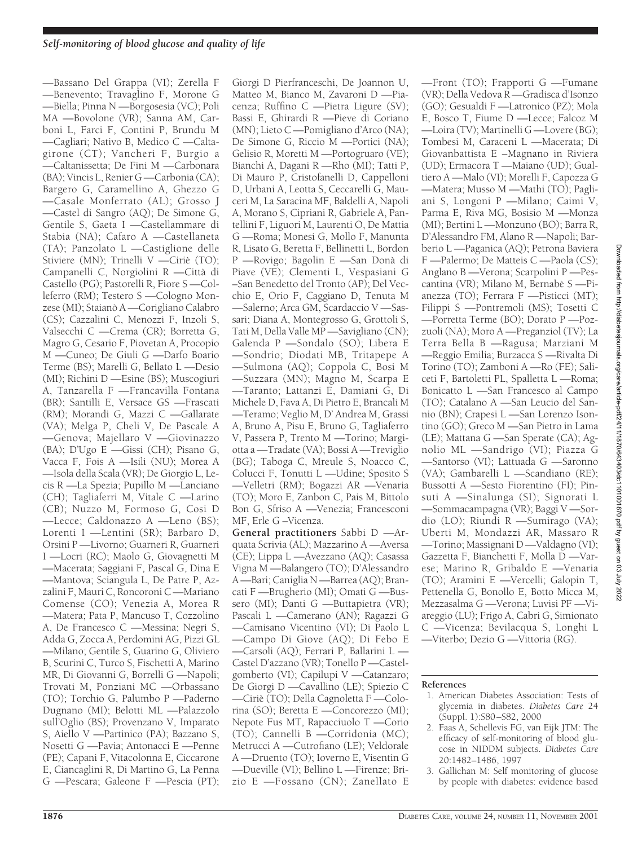—Bassano Del Grappa (VI); Zerella F —Benevento; Travaglino F, Morone G —Biella; Pinna N —Borgosesia (VC); Poli MA —Bovolone (VR); Sanna AM, Carboni L, Farci F, Contini P, Brundu M —Cagliari; Nativo B, Medico C —Caltagirone (CT); Vancheri F, Burgio a —Caltanissetta; De Fini M —Carbonara (BA); Vincis L, Renier G—Carbonia (CA); Bargero G, Caramellino A, Ghezzo G —Casale Monferrato (AL); Grosso J —Castel di Sangro (AQ); De Simone G, Gentile S, Gaeta I —Castellammare di Stabia (NA); Cafaro A —Castellaneta (TA); Panzolato L —Castiglione delle Stiviere (MN); Trinelli V —Ciriè (TO); Campanelli C, Norgiolini R —Citta` di Castello (PG); Pastorelli R, Fiore S —Colleferro (RM); Testero S —Cologno Monzese (MI); Staiano` A—Corigliano Calabro (CS); Cazzalini C, Menozzi F, Inzoli S, Valsecchi C —Crema (CR); Borretta G, Magro G, Cesario F, Piovetan A, Procopio M —Cuneo; De Giuli G —Darfo Boario Terme (BS); Marelli G, Bellato L —Desio (MI); Richini D —Esine (BS); Muscogiuri A, Tanzarella F —Francavilla Fontana (BR); Santilli E, Versace GS —Frascati (RM); Morandi G, Mazzi C —Gallarate (VA); Melga P, Cheli V, De Pascale A —Genova; Majellaro V —Giovinazzo (BA); D'Ugo E —Gissi (CH); Pisano G, Vacca F, Fois A —Isili (NU); Morea A —Isola della Scala (VR); De Giorgio L, Lecis R —La Spezia; Pupillo M —Lanciano (CH); Tagliaferri M, Vitale C —Larino (CB); Nuzzo M, Formoso G, Cosi D —Lecce; Caldonazzo A —Leno (BS); Lorenti I —Lentini (SR); Barbaro D, Orsini P —Livorno; Guarneri R, Guarneri I —Locri (RC); Maolo G, Giovagnetti M —Macerata; Saggiani F, Pascal G, Dina E —Mantova; Sciangula L, De Patre P, Azzalini F, Mauri C, Roncoroni C—Mariano Comense (CO); Venezia A, Morea R —Matera; Pata P, Mancuso T, Cozzolino A, De Francesco C —Messina; Negri S, Adda G, Zocca A, Perdomini AG, Pizzi GL —Milano; Gentile S, Guarino G, Oliviero B, Scurini C, Turco S, Fischetti A, Marino MR, Di Giovanni G, Borrelli G —Napoli; Trovati M, Ponziani MC —Orbassano (TO); Torchio G, Palumbo P —Paderno Dugnano (MI); Belotti ML —Palazzolo sull'Oglio (BS); Provenzano V, Imparato S, Aiello V —Partinico (PA); Bazzano S, Nosetti G —Pavia; Antonacci E —Penne (PE); Capani F, Vitacolonna E, Ciccarone E, Ciancaglini R, Di Martino G, La Penna G —Pescara; Galeone F —Pescia (PT);

Giorgi D Pierfranceschi, De Joannon U, Matteo M, Bianco M, Zavaroni D —Piacenza; Ruffino C —Pietra Ligure (SV); Bassi E, Ghirardi R —Pieve di Coriano (MN); Lieto C —Pomigliano d'Arco (NA); De Simone G, Riccio M —Portici (NA); Gelisio R, Moretti M —Portogruaro (VE); Bianchi A, Dagani R —Rho (MI); Tatti P, Di Mauro P, Cristofanelli D, Cappelloni D, Urbani A, Leotta S, Ceccarelli G, Mauceri M, La Saracina MF, Baldelli A, Napoli A, Morano S, Cipriani R, Gabriele A, Pantellini F, Liguori M, Laurenti O, De Mattia G —Roma; Monesi G, Mollo F, Manunta R, Lisato G, Beretta F, Bellinetti L, Bordon P —Rovigo; Bagolin E —San Dona` di Piave (VE); Clementi L, Vespasiani G –San Benedetto del Tronto (AP); Del Vecchio E, Orio F, Caggiano D, Tenuta M —Salerno; Arca GM, Scardaccio V —Sassari; Diana A, Montegrosso G, Grottoli S, Tati M, Della Valle MP —Savigliano (CN); Galenda P —Sondalo (SO); Libera E —Sondrio; Diodati MB, Tritapepe A —Sulmona (AQ); Coppola C, Bosi M —Suzzara (MN); Magno M, Scarpa E —Taranto; Lattanzi E, Damiani G, Di Michele D, Fava A, Di Pietro E, Brancali M —Teramo; Veglio M, D' Andrea M, Grassi A, Bruno A, Pisu E, Bruno G, Tagliaferro V, Passera P, Trento M —Torino; Margiotta a —Tradate (VA); Bossi A —Treviglio (BG); Taboga C, Mreule S, Noacco C, Colucci F, Tonutti L —Udine; Sposito S —Velletri (RM); Bogazzi AR —Venaria (TO); Moro E, Zanbon C, Pais M, Bittolo Bon G, Sfriso A —Venezia; Francesconi MF, Erle G –Vicenza.

**General practitioners** Sabbi D —Arquata Scrivia (AL); Mazzarino A —Aversa (CE); Lippa L —Avezzano (AQ); Casassa Vigna M —Balangero (TO); D'Alessandro A—Bari; Caniglia N—Barrea (AQ); Brancati F —Brugherio (MI); Omati G —Bussero (MI); Danti G —Buttapietra (VR); Pascali L —Camerano (AN); Ragazzi G —Camisano Vicentino (VI); Di Paolo L —Campo Di Giove (AQ); Di Febo E —Carsoli (AQ); Ferrari P, Ballarini L — Castel D'azzano (VR); Tonello P —Castelgomberto (VI); Capilupi V —Catanzaro; De Giorgi D —Cavallino (LE); Spiezio C —Cirie` (TO); Della Cagnoletta F —Colorina (SO); Beretta E —Concorezzo (MI); Nepote Fus MT, Rapacciuolo T —Corio (TO); Cannelli B —Corridonia (MC); Metrucci A —Cutrofiano (LE); Veldorale A —Druento (TO); Ioverno E, Visentin G —Dueville (VI); Bellino L —Firenze; Brizio E —Fossano (CN); Zanellato E

—Front (TO); Frapporti G —Fumane (VR); Della Vedova R —Gradisca d'Isonzo (GO); Gesualdi F —Latronico (PZ); Mola E, Bosco T, Fiume D —Lecce; Falcoz M —Loira (TV); Martinelli G—Lovere (BG); Tombesi M, Caraceni L —Macerata; Di Giovanbattista E –Magnano in Riviera (UD); Ermacora T —Maiano (UD); Gualtiero A —Malo (VI); Morelli F, Capozza G —Matera; Musso M —Mathi (TO); Pagliani S, Longoni P —Milano; Caimi V, Parma E, Riva MG, Bosisio M —Monza (MI); Bertini L —Monzuno (BO); Barra R, D'Alessandro FM, Alano R —Napoli; Barberio L —Paganica (AQ); Petrona Baviera F —Palermo; De Matteis C —Paola (CS); Anglano B —Verona; Scarpolini P —Pescantina (VR); Milano M, Bernabè S -Pianezza (TO); Ferrara F —Pisticci (MT); Filippi S —Pontremoli (MS); Tosetti C —Porretta Terme (BO); Dorato P —Pozzuoli (NA); Moro A —Preganziol (TV); La Terra Bella B —Ragusa; Marziani M —Reggio Emilia; Burzacca S —Rivalta Di Torino (TO); Zamboni A —Ro (FE); Saliceti F, Bartoletti PL, Spalletta L —Roma; Bonicatto L —San Francesco al Campo (TO); Catalano A —San Leucio del Sannio (BN); Crapesi L —San Lorenzo Isontino (GO); Greco M —San Pietro in Lama (LE); Mattana G —San Sperate (CA); Agnolio ML —Sandrigo (VI); Piazza G —Santorso (VI); Lattuada G —Saronno (VA); Gambarelli L —Scandiano (RE); Bussotti A —Sesto Fiorentino (FI); Pinsuti A —Sinalunga (SI); Signorati L —Sommacampagna (VR); Baggi V —Sordio (LO); Riundi R —Sumirago (VA); Uberti M, Mondazzi AR, Massaro R —Torino; Massignani D—Valdagno (VI); Gazzetta F, Bianchetti F, Molla D —Varese; Marino R, Gribaldo E —Venaria (TO); Aramini E —Vercelli; Galopin T, Pettenella G, Bonollo E, Botto Micca M, Mezzasalma G —Verona; Luvisi PF —Viareggio (LU); Frigo A, Cabri G, Simionato C —Vicenza; Bevilacqua S, Longhi L —Viterbo; Dezio G —Vittoria (RG).

#### **References**

- 1. American Diabetes Association: Tests of glycemia in diabetes. *Diabetes Care* 24 (Suppl. 1):S80–S82, 2000
- 2. Faas A, Schellevis FG, van Eijk JTM: The efficacy of self-monitoring of blood glucose in NIDDM subjects. *Diabetes Care* 20:1482–1486, 1997
- 3. Gallichan M: Self monitoring of glucose by people with diabetes: evidence based